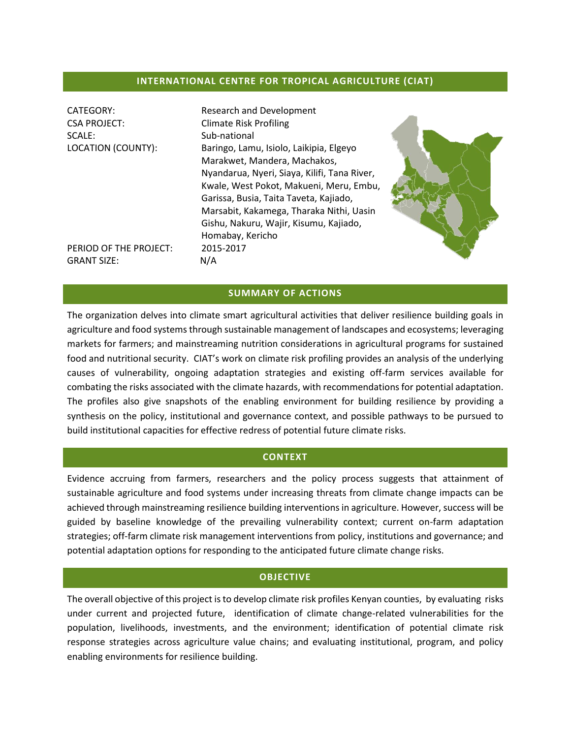#### **INTERNATIONAL CENTRE FOR TROPICAL AGRICULTURE (CIAT)**

| CATEGORY:<br><b>CSA PROJECT:</b><br>SCALE:<br>LOCATION (COUNTY): | Research and Development<br><b>Climate Risk Profiling</b><br>Sub-national<br>Baringo, Lamu, Isiolo, Laikipia, Elgeyo<br>Marakwet, Mandera, Machakos,<br>Nyandarua, Nyeri, Siaya, Kilifi, Tana River,<br>Kwale, West Pokot, Makueni, Meru, Embu,<br>Garissa, Busia, Taita Taveta, Kajiado,<br>Marsabit, Kakamega, Tharaka Nithi, Uasin<br>Gishu, Nakuru, Wajir, Kisumu, Kajiado,<br>Homabay, Kericho |  |
|------------------------------------------------------------------|-----------------------------------------------------------------------------------------------------------------------------------------------------------------------------------------------------------------------------------------------------------------------------------------------------------------------------------------------------------------------------------------------------|--|
| PERIOD OF THE PROJECT:<br><b>GRANT SIZE:</b>                     | 2015-2017<br>N/A                                                                                                                                                                                                                                                                                                                                                                                    |  |

#### **SUMMARY OF ACTIONS**

The organization delves into climate smart agricultural activities that deliver resilience building goals in agriculture and food systems through sustainable management of landscapes and ecosystems; leveraging markets for farmers; and mainstreaming nutrition considerations in agricultural programs for sustained food and nutritional security. CIAT's work on climate risk profiling provides an analysis of the underlying causes of vulnerability, ongoing adaptation strategies and existing off-farm services available for combating the risks associated with the climate hazards, with recommendations for potential adaptation. The profiles also give snapshots of the enabling environment for building resilience by providing a synthesis on the policy, institutional and governance context, and possible pathways to be pursued to build institutional capacities for effective redress of potential future climate risks.

#### **CONTEXT**

Evidence accruing from farmers, researchers and the policy process suggests that attainment of sustainable agriculture and food systems under increasing threats from climate change impacts can be achieved through mainstreaming resilience building interventions in agriculture. However, success will be guided by baseline knowledge of the prevailing vulnerability context; current on-farm adaptation strategies; off-farm climate risk management interventions from policy, institutions and governance; and potential adaptation options for responding to the anticipated future climate change risks.

#### **OBJECTIVE**

The overall objective of this project is to develop climate risk profiles Kenyan counties, by evaluating risks under current and projected future, identification of climate change-related vulnerabilities for the population, livelihoods, investments, and the environment; identification of potential climate risk response strategies across agriculture value chains; and evaluating institutional, program, and policy enabling environments for resilience building.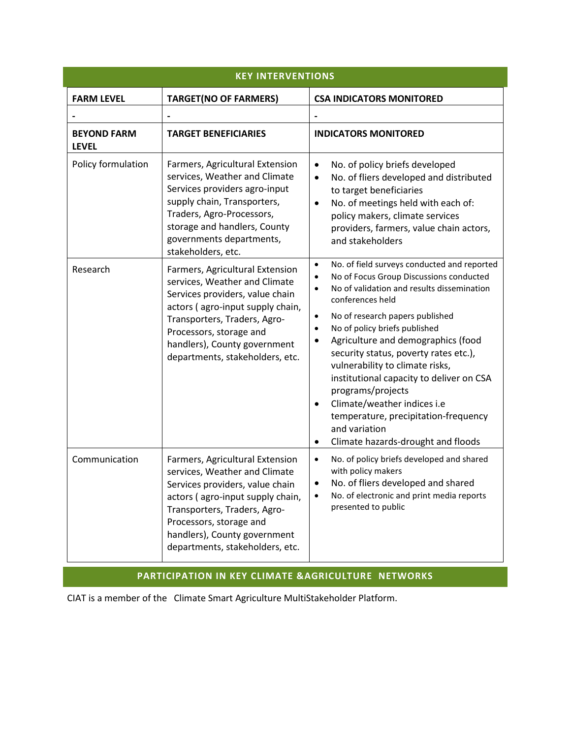| <b>KEY INTERVENTIONS</b>           |                                                                                                                                                                                                                                                                       |                                                                                                                                                                                                                                                                                                                                                                                                                                                                                                                                                                                                                                                       |  |
|------------------------------------|-----------------------------------------------------------------------------------------------------------------------------------------------------------------------------------------------------------------------------------------------------------------------|-------------------------------------------------------------------------------------------------------------------------------------------------------------------------------------------------------------------------------------------------------------------------------------------------------------------------------------------------------------------------------------------------------------------------------------------------------------------------------------------------------------------------------------------------------------------------------------------------------------------------------------------------------|--|
| <b>FARM LEVEL</b>                  | <b>TARGET(NO OF FARMERS)</b>                                                                                                                                                                                                                                          | <b>CSA INDICATORS MONITORED</b>                                                                                                                                                                                                                                                                                                                                                                                                                                                                                                                                                                                                                       |  |
|                                    |                                                                                                                                                                                                                                                                       |                                                                                                                                                                                                                                                                                                                                                                                                                                                                                                                                                                                                                                                       |  |
| <b>BEYOND FARM</b><br><b>LEVEL</b> | <b>TARGET BENEFICIARIES</b>                                                                                                                                                                                                                                           | <b>INDICATORS MONITORED</b>                                                                                                                                                                                                                                                                                                                                                                                                                                                                                                                                                                                                                           |  |
| Policy formulation                 | Farmers, Agricultural Extension<br>services, Weather and Climate<br>Services providers agro-input<br>supply chain, Transporters,<br>Traders, Agro-Processors,<br>storage and handlers, County<br>governments departments,<br>stakeholders, etc.                       | No. of policy briefs developed<br>$\bullet$<br>No. of fliers developed and distributed<br>$\bullet$<br>to target beneficiaries<br>No. of meetings held with each of:<br>$\bullet$<br>policy makers, climate services<br>providers, farmers, value chain actors,<br>and stakeholders                                                                                                                                                                                                                                                                                                                                                                   |  |
| Research                           | Farmers, Agricultural Extension<br>services, Weather and Climate<br>Services providers, value chain<br>actors (agro-input supply chain,<br>Transporters, Traders, Agro-<br>Processors, storage and<br>handlers), County government<br>departments, stakeholders, etc. | No. of field surveys conducted and reported<br>$\bullet$<br>No of Focus Group Discussions conducted<br>$\bullet$<br>No of validation and results dissemination<br>$\bullet$<br>conferences held<br>No of research papers published<br>$\bullet$<br>No of policy briefs published<br>$\bullet$<br>Agriculture and demographics (food<br>$\bullet$<br>security status, poverty rates etc.),<br>vulnerability to climate risks,<br>institutional capacity to deliver on CSA<br>programs/projects<br>Climate/weather indices i.e<br>$\bullet$<br>temperature, precipitation-frequency<br>and variation<br>Climate hazards-drought and floods<br>$\bullet$ |  |
| Communication                      | Farmers, Agricultural Extension<br>services, Weather and Climate<br>Services providers, value chain<br>actors (agro-input supply chain,<br>Transporters, Traders, Agro-<br>Processors, storage and<br>handlers), County government<br>departments, stakeholders, etc. | No. of policy briefs developed and shared<br>$\bullet$<br>with policy makers<br>No. of fliers developed and shared<br>No. of electronic and print media reports<br>$\bullet$<br>presented to public                                                                                                                                                                                                                                                                                                                                                                                                                                                   |  |

# **PARTICIPATION IN KEY CLIMATE &AGRICULTURE NETWORKS**

CIAT is a member of the Climate Smart Agriculture MultiStakeholder Platform.